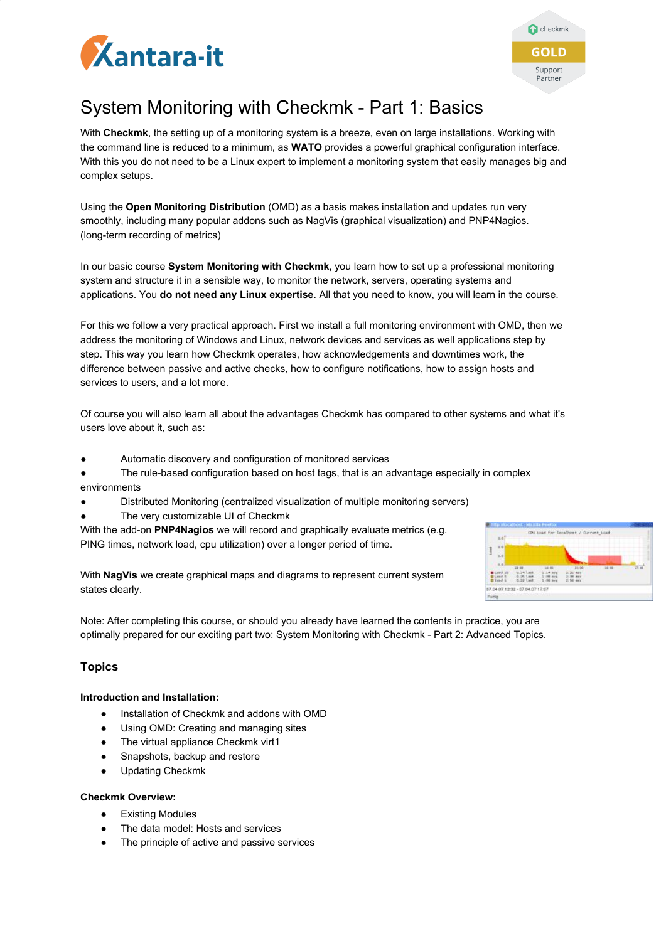



# System Monitoring with Checkmk - Part 1: Basics

With **Checkmk**, the setting up of a monitoring system is a breeze, even on large installations. Working with the command line is reduced to a minimum, as **WATO** provides a powerful graphical configuration interface. With this you do not need to be a Linux expert to implement a monitoring system that easily manages big and complex setups.

Using the **Open Monitoring Distribution** (OMD) as a basis makes installation and updates run very smoothly, including many popular addons such as NagVis (graphical visualization) and PNP4Nagios. (long-term recording of metrics)

In our basic course **System Monitoring with Checkmk**, you learn how to set up a professional monitoring system and structure it in a sensible way, to monitor the network, servers, operating systems and applications. You **do not need any Linux expertise**. All that you need to know, you will learn in the course.

For this we follow a very practical approach. First we install a full monitoring environment with OMD, then we address the monitoring of Windows and Linux, network devices and services as well applications step by step. This way you learn how Checkmk operates, how acknowledgements and downtimes work, the difference between passive and active checks, how to configure notifications, how to assign hosts and services to users, and a lot more.

Of course you will also learn all about the advantages Checkmk has compared to other systems and what it's users love about it, such as:

- Automatic discovery and configuration of monitored services
- The rule-based configuration based on host tags, that is an advantage especially in complex environments
- Distributed Monitoring (centralized visualization of multiple monitoring servers)
- The very customizable UI of Checkmk

With the add-on **PNP4Nagios** we will record and graphically evaluate metrics (e.g. PING times, network load, cpu utilization) over a longer period of time.

With **NagVis** we create graphical maps and diagrams to represent current system states clearly.



Note: After completing this course, or should you already have learned the contents in practice, you are optimally prepared for our exciting part two: System Monitoring with Checkmk - Part 2: Advanced Topics.

# **Topics**

## **Introduction and Installation:**

- Installation of Checkmk and addons with OMD
- Using OMD: Creating and managing sites
- The virtual appliance Checkmk virt1
- Snapshots, backup and restore
- Updating Checkmk

#### **Checkmk Overview:**

- Existing Modules
- The data model: Hosts and services
- The principle of active and passive services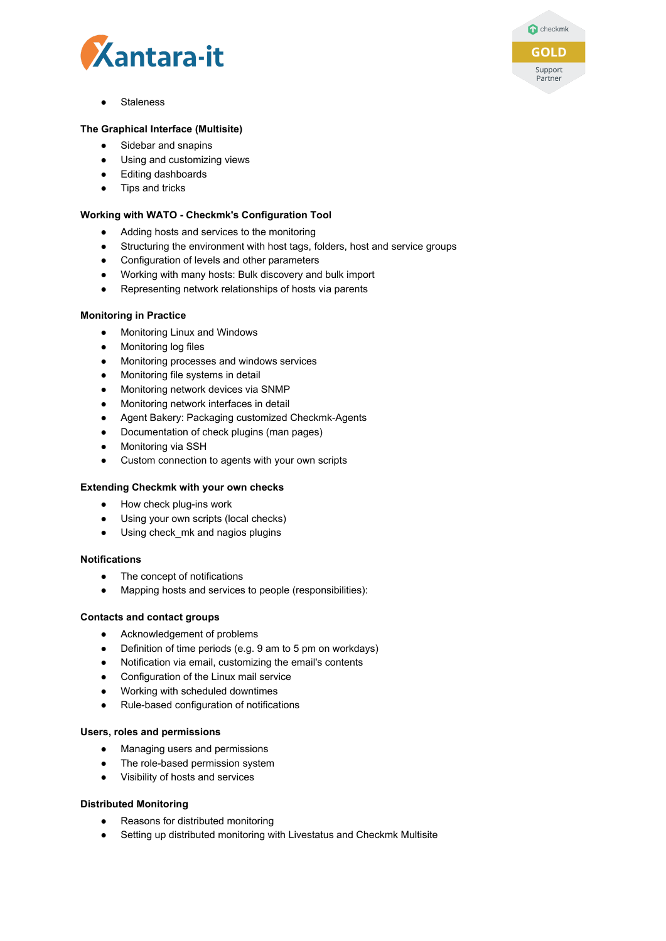



**Staleness** 

#### **The Graphical Interface (Multisite)**

- Sidebar and snapins
- Using and customizing views
- Editing dashboards
- Tips and tricks

#### **Working with WATO - Checkmk's Configuration Tool**

- Adding hosts and services to the monitoring
- Structuring the environment with host tags, folders, host and service groups
- Configuration of levels and other parameters
- Working with many hosts: Bulk discovery and bulk import
- Representing network relationships of hosts via parents

#### **Monitoring in Practice**

- Monitoring Linux and Windows
- Monitoring log files
- Monitoring processes and windows services
- Monitoring file systems in detail
- Monitoring network devices via SNMP
- Monitoring network interfaces in detail
- Agent Bakery: Packaging customized Checkmk-Agents
- Documentation of check plugins (man pages)
- Monitoring via SSH
- Custom connection to agents with your own scripts

#### **Extending Checkmk with your own checks**

- How check plug-ins work
- Using your own scripts (local checks)
- Using check\_mk and nagios plugins

#### **Notifications**

- The concept of notifications
- Mapping hosts and services to people (responsibilities):

#### **Contacts and contact groups**

- Acknowledgement of problems
- Definition of time periods (e.g. 9 am to 5 pm on workdays)
- Notification via email, customizing the email's contents
- Configuration of the Linux mail service
- Working with scheduled downtimes
- Rule-based configuration of notifications

#### **Users, roles and permissions**

- Managing users and permissions
- The role-based permission system
- Visibility of hosts and services

#### **Distributed Monitoring**

- Reasons for distributed monitoring
- Setting up distributed monitoring with Livestatus and Checkmk Multisite